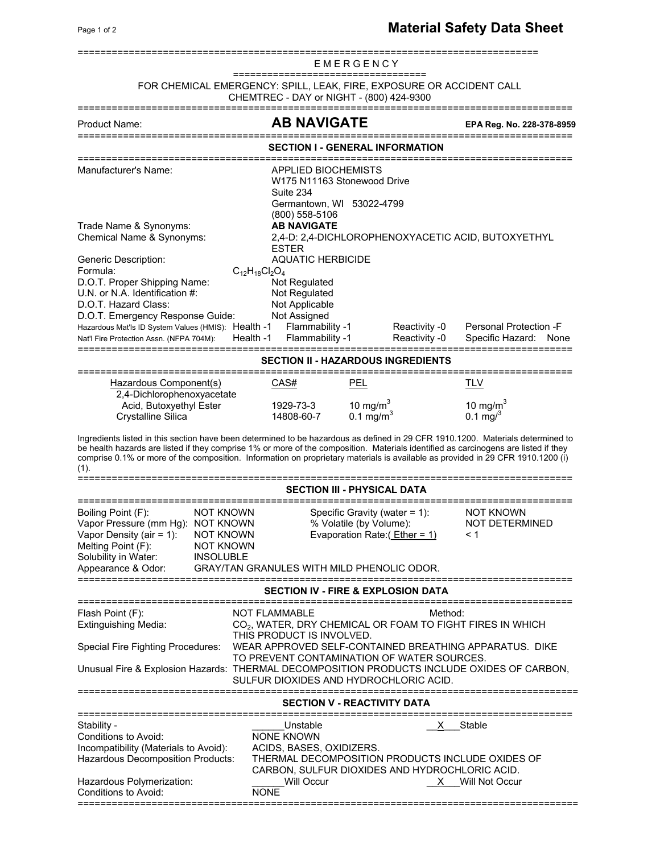|                                                                                                                                                                                                                                                                                                                                                                                                                                                                               |                                                                                                                  |                                                                                                                                    | EMERGENCY                                                   |                                |                                                                                  |      |  |  |  |  |  |
|-------------------------------------------------------------------------------------------------------------------------------------------------------------------------------------------------------------------------------------------------------------------------------------------------------------------------------------------------------------------------------------------------------------------------------------------------------------------------------|------------------------------------------------------------------------------------------------------------------|------------------------------------------------------------------------------------------------------------------------------------|-------------------------------------------------------------|--------------------------------|----------------------------------------------------------------------------------|------|--|--|--|--|--|
| ===================================<br>FOR CHEMICAL EMERGENCY: SPILL, LEAK, FIRE, EXPOSURE OR ACCIDENT CALL<br>CHEMTREC - DAY or NIGHT - (800) 424-9300                                                                                                                                                                                                                                                                                                                       |                                                                                                                  |                                                                                                                                    |                                                             |                                |                                                                                  |      |  |  |  |  |  |
| <b>Product Name:</b>                                                                                                                                                                                                                                                                                                                                                                                                                                                          |                                                                                                                  | AB NAVIGATE                                                                                                                        |                                                             |                                | EPA Reg. No. 228-378-8959                                                        |      |  |  |  |  |  |
| ==================<br>=============<br>SECTION I - GENERAL INFORMATION                                                                                                                                                                                                                                                                                                                                                                                                        |                                                                                                                  |                                                                                                                                    |                                                             |                                |                                                                                  |      |  |  |  |  |  |
| Manufacturer's Name:                                                                                                                                                                                                                                                                                                                                                                                                                                                          | APPLIED BIOCHEMISTS<br>W175 N11163 Stonewood Drive<br>Suite 234<br>Germantown, WI 53022-4799<br>$(800)$ 558-5106 |                                                                                                                                    |                                                             |                                |                                                                                  |      |  |  |  |  |  |
| <b>AB NAVIGATE</b><br>Trade Name & Synonyms:<br>Chemical Name & Synonyms:<br>2,4-D: 2,4-DICHLOROPHENOXYACETIC ACID, BUTOXYETHYL<br><b>ESTER</b>                                                                                                                                                                                                                                                                                                                               |                                                                                                                  |                                                                                                                                    |                                                             |                                |                                                                                  |      |  |  |  |  |  |
| <b>Generic Description:</b><br>Formula:<br>D.O.T. Proper Shipping Name:<br>U.N. or N.A. Identification #:<br>D.O.T. Hazard Class:<br>D.O.T. Emergency Response Guide:<br>Hazardous Mat'ls ID System Values (HMIS): Health -1<br>Nat'l Fire Protection Assn. (NFPA 704M):                                                                                                                                                                                                      | $C_{12}H_{18}Cl_2O_4$<br>Health -1                                                                               | <b>AQUATIC HERBICIDE</b><br>Not Regulated<br>Not Regulated<br>Not Applicable<br>Not Assigned<br>Flammability -1<br>Flammability -1 |                                                             | Reactivity -0<br>Reactivity -0 | Personal Protection -F<br>Specific Hazard:                                       | None |  |  |  |  |  |
| -------------------------------<br>SECTION II - HAZARDOUS INGREDIENTS                                                                                                                                                                                                                                                                                                                                                                                                         |                                                                                                                  |                                                                                                                                    |                                                             |                                |                                                                                  |      |  |  |  |  |  |
| Hazardous Component(s)                                                                                                                                                                                                                                                                                                                                                                                                                                                        |                                                                                                                  | CAS#                                                                                                                               | PEL                                                         |                                | <b>TLV</b>                                                                       |      |  |  |  |  |  |
| 2,4-Dichlorophenoxyacetate<br>Acid, Butoxyethyl Ester<br><b>Crystalline Silica</b>                                                                                                                                                                                                                                                                                                                                                                                            |                                                                                                                  | 1929-73-3<br>14808-60-7                                                                                                            | 10 mg/m <sup>3</sup><br>0.1 mg/m <sup>3</sup>               |                                | 10 mg/m $3$<br>0.1 mg/ $3$                                                       |      |  |  |  |  |  |
| Ingredients listed in this section have been determined to be hazardous as defined in 29 CFR 1910.1200. Materials determined to<br>be health hazards are listed if they comprise 1% or more of the composition. Materials identified as carcinogens are listed if they<br>comprise 0.1% or more of the composition. Information on proprietary materials is available as provided in 29 CFR 1910.1200 (i)<br>(1).                                                             |                                                                                                                  |                                                                                                                                    |                                                             |                                |                                                                                  |      |  |  |  |  |  |
|                                                                                                                                                                                                                                                                                                                                                                                                                                                                               |                                                                                                                  | SECTION III - PHYSICAL DATA                                                                                                        |                                                             |                                |                                                                                  |      |  |  |  |  |  |
| Boiling Point (F):<br>NOT KNOWN<br>Vapor Pressure (mm Hg): NOT KNOWN<br>Vapor Density (air = 1):<br>NOT KNOWN<br>Melting Point (F):<br><b>NOT KNOWN</b><br>Solubility in Water:<br><b>INSOLUBLE</b><br>Appearance & Odor:                                                                                                                                                                                                                                                     |                                                                                                                  | <b>GRAY/TAN GRANULES WITH MILD PHENOLIC ODOR.</b>                                                                                  | Specific Gravity (water $= 1$ ):<br>% Volatile (by Volume): | Evaporation Rate: (Ether = 1)  | <b>NOT KNOWN</b><br><b>NOT DETERMINED</b><br>< 1                                 |      |  |  |  |  |  |
|                                                                                                                                                                                                                                                                                                                                                                                                                                                                               |                                                                                                                  | <b>SECTION IV - FIRE &amp; EXPLOSION DATA</b>                                                                                      |                                                             |                                |                                                                                  |      |  |  |  |  |  |
| <b>NOT FLAMMABLE</b><br>Method:<br>Flash Point (F):<br>CO <sub>2</sub> , WATER, DRY CHEMICAL OR FOAM TO FIGHT FIRES IN WHICH<br>Extinguishing Media:<br>THIS PRODUCT IS INVOLVED.<br><b>Special Fire Fighting Procedures:</b><br>WEAR APPROVED SELF-CONTAINED BREATHING APPARATUS. DIKE<br>TO PREVENT CONTAMINATION OF WATER SOURCES.<br>Unusual Fire & Explosion Hazards: THERMAL DECOMPOSITION PRODUCTS INCLUDE OXIDES OF CARBON,<br>SULFUR DIOXIDES AND HYDROCHLORIC ACID. |                                                                                                                  |                                                                                                                                    |                                                             |                                |                                                                                  |      |  |  |  |  |  |
| SECTION V - REACTIVITY DATA                                                                                                                                                                                                                                                                                                                                                                                                                                                   |                                                                                                                  |                                                                                                                                    |                                                             |                                |                                                                                  |      |  |  |  |  |  |
| Stability -<br>Conditions to Avoid:<br>Incompatibility (Materials to Avoid):<br>Hazardous Decomposition Products:<br>Hazardous Polymerization:<br>Conditions to Avoid:                                                                                                                                                                                                                                                                                                        | <b>NONE</b>                                                                                                      | Unstable<br><b>NONE KNOWN</b><br>ACIDS, BASES, OXIDIZERS.<br>CARBON, SULFUR DIOXIDES AND HYDROCHLORIC ACID.<br>Will Occur          |                                                             |                                | X Stable<br>THERMAL DECOMPOSITION PRODUCTS INCLUDE OXIDES OF<br>X Will Not Occur |      |  |  |  |  |  |